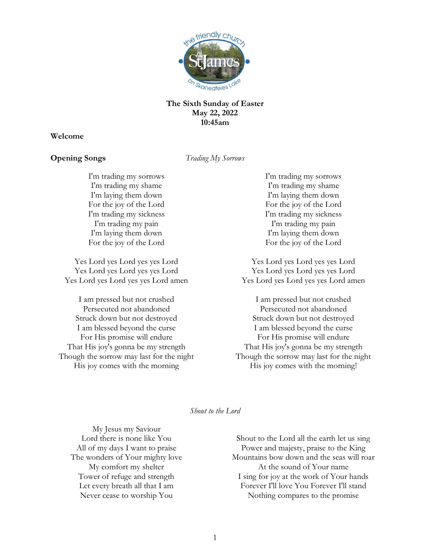

### **The Sixth Sunday of Easter May 22, 2022 10:45am**

#### **Welcome**

## **Opening Songs** *Trading My Sorrows*

I'm trading my sorrows I'm trading my shame I'm laying them down For the joy of the Lord I'm trading my sickness I'm trading my pain I'm laying them down For the joy of the Lord

Yes Lord yes Lord yes yes Lord Yes Lord yes Lord yes yes Lord Yes Lord yes Lord yes yes Lord amen

I am pressed but not crushed Persecuted not abandoned Struck down but not destroyed I am blessed beyond the curse For His promise will endure That His joy's gonna be my strength Though the sorrow may last for the night His joy comes with the morning

I'm trading my sorrows I'm trading my shame I'm laying them down For the joy of the Lord I'm trading my sickness I'm trading my pain I'm laying them down For the joy of the Lord

Yes Lord yes Lord yes yes Lord Yes Lord yes Lord yes yes Lord Yes Lord yes Lord yes yes Lord amen

I am pressed but not crushed Persecuted not abandoned Struck down but not destroyed I am blessed beyond the curse For His promise will endure That His joy's gonna be my strength Though the sorrow may last for the night His joy comes with the morning!

#### *Shout to the Lord*

My Jesus my Saviour Lord there is none like You All of my days I want to praise The wonders of Your mighty love My comfort my shelter Tower of refuge and strength Let every breath all that I am Never cease to worship You

Shout to the Lord all the earth let us sing Power and majesty, praise to the King Mountains bow down and the seas will roar At the sound of Your name I sing for joy at the work of Your hands Forever I'll love You Forever I'll stand Nothing compares to the promise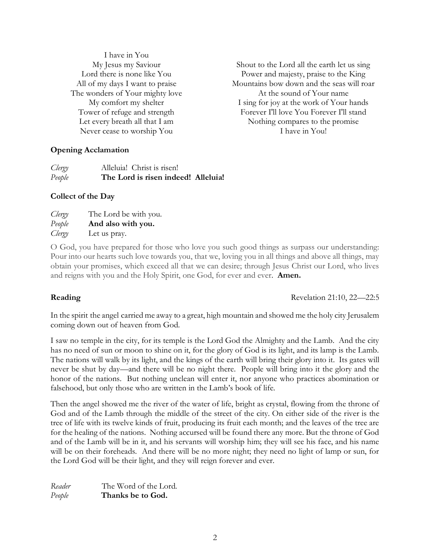I have in You My Jesus my Saviour Lord there is none like You All of my days I want to praise The wonders of Your mighty love My comfort my shelter Tower of refuge and strength Let every breath all that I am Never cease to worship You

Shout to the Lord all the earth let us sing Power and majesty, praise to the King Mountains bow down and the seas will roar At the sound of Your name I sing for joy at the work of Your hands Forever I'll love You Forever I'll stand Nothing compares to the promise I have in You!

## **Opening Acclamation**

| Clergy | Alleluia! Christ is risen!          |
|--------|-------------------------------------|
| People | The Lord is risen indeed! Alleluia! |

## **Collect of the Day**

| Clergy | The Lord be with you. |
|--------|-----------------------|
| People | And also with you.    |
| Clergy | Let us pray.          |

O God, you have prepared for those who love you such good things as surpass our understanding: Pour into our hearts such love towards you, that we, loving you in all things and above all things, may obtain your promises, which exceed all that we can desire; through Jesus Christ our Lord, who lives and reigns with you and the Holy Spirit, one God, for ever and ever. **Amen.**

**Reading** Revelation 21:10, 22—22:5

In the spirit the angel carried me away to a great, high mountain and showed me the holy city Jerusalem coming down out of heaven from God.

I saw no temple in the city, for its temple is the Lord God the Almighty and the Lamb. And the city has no need of sun or moon to shine on it, for the glory of God is its light, and its lamp is the Lamb. The nations will walk by its light, and the kings of the earth will bring their glory into it. Its gates will never be shut by day—and there will be no night there. People will bring into it the glory and the honor of the nations. But nothing unclean will enter it, nor anyone who practices abomination or falsehood, but only those who are written in the Lamb's book of life.

Then the angel showed me the river of the water of life, bright as crystal, flowing from the throne of God and of the Lamb through the middle of the street of the city. On either side of the river is the tree of life with its twelve kinds of fruit, producing its fruit each month; and the leaves of the tree are for the healing of the nations. Nothing accursed will be found there any more. But the throne of God and of the Lamb will be in it, and his servants will worship him; they will see his face, and his name will be on their foreheads. And there will be no more night; they need no light of lamp or sun, for the Lord God will be their light, and they will reign forever and ever.

*Reader* The Word of the Lord. *People* **Thanks be to God.**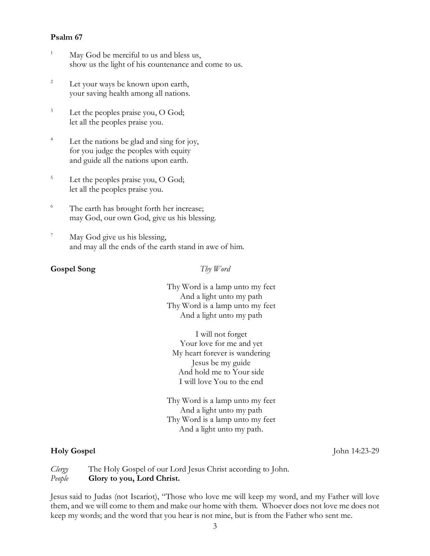## **Psalm 67**

- <sup>1</sup> May God be merciful to us and bless us, show us the light of his countenance and come to us.
- <sup>2</sup> Let your ways be known upon earth, your saving health among all nations.
- <sup>3</sup> Let the peoples praise you, O God; let all the peoples praise you.
- <sup>4</sup> Let the nations be glad and sing for joy, for you judge the peoples with equity and guide all the nations upon earth.
- <sup>5</sup> Let the peoples praise you, O God; let all the peoples praise you.
- <sup>6</sup> The earth has brought forth her increase; may God, our own God, give us his blessing.
- <sup>7</sup> May God give us his blessing, and may all the ends of the earth stand in awe of him.

## **Gospel Song** *Thy Word*

Thy Word is a lamp unto my feet And a light unto my path Thy Word is a lamp unto my feet And a light unto my path

I will not forget Your love for me and yet My heart forever is wandering Jesus be my guide And hold me to Your side I will love You to the end

Thy Word is a lamp unto my feet And a light unto my path Thy Word is a lamp unto my feet And a light unto my path.

**Holy Gospel** John 14:23-29

*Clergy* The Holy Gospel of our Lord Jesus Christ according to John. *People* **Glory to you, Lord Christ.**

Jesus said to Judas (not Iscariot), "Those who love me will keep my word, and my Father will love them, and we will come to them and make our home with them. Whoever does not love me does not keep my words; and the word that you hear is not mine, but is from the Father who sent me.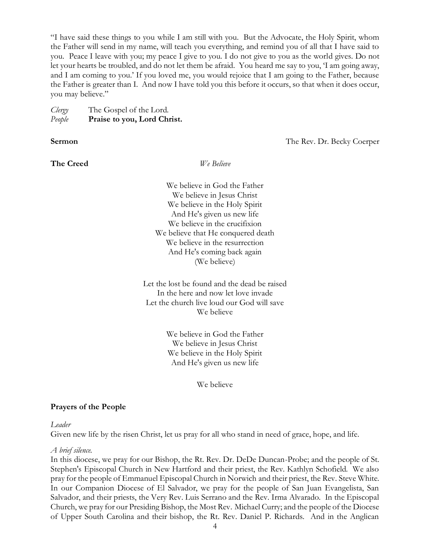"I have said these things to you while I am still with you. But the Advocate, the Holy Spirit, whom the Father will send in my name, will teach you everything, and remind you of all that I have said to you. Peace I leave with you; my peace I give to you. I do not give to you as the world gives. Do not let your hearts be troubled, and do not let them be afraid. You heard me say to you, 'I am going away, and I am coming to you.' If you loved me, you would rejoice that I am going to the Father, because the Father is greater than I. And now I have told you this before it occurs, so that when it does occur, you may believe."

*Clergy* The Gospel of the Lord. *People* **Praise to you, Lord Christ.** 

#### **Sermon** The Rev. Dr. Becky Coerper

**The Creed** *We Believe*

We believe in God the Father We believe in Jesus Christ We believe in the Holy Spirit And He's given us new life We believe in the crucifixion We believe that He conquered death We believe in the resurrection And He's coming back again (We believe)

Let the lost be found and the dead be raised In the here and now let love invade Let the church live loud our God will save We believe

> We believe in God the Father We believe in Jesus Christ We believe in the Holy Spirit And He's given us new life

> > We believe

#### **Prayers of the People**

#### *Leader*

Given new life by the risen Christ, let us pray for all who stand in need of grace, hope, and life.

#### *A brief silence.*

In this diocese, we pray for our Bishop, the Rt. Rev. Dr. DeDe Duncan-Probe; and the people of St. Stephen's Episcopal Church in New Hartford and their priest, the Rev. Kathlyn Schofield. We also pray for the people of Emmanuel Episcopal Church in Norwich and their priest, the Rev. Steve White. In our Companion Diocese of El Salvador, we pray for the people of San Juan Evangelista, San Salvador, and their priests, the Very Rev. Luis Serrano and the Rev. Irma Alvarado. In the Episcopal Church, we pray for our Presiding Bishop, the Most Rev. Michael Curry; and the people of the Diocese of Upper South Carolina and their bishop, the Rt. Rev. Daniel P. Richards. And in the Anglican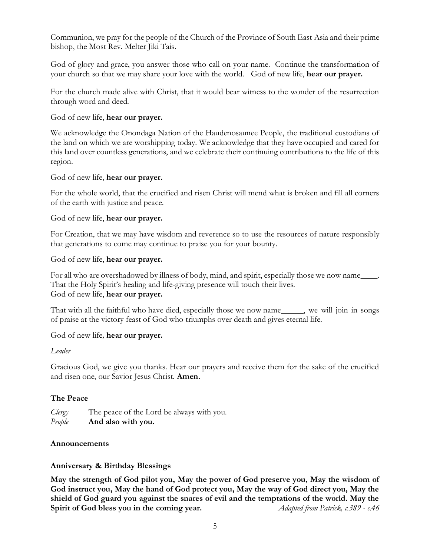Communion, we pray for the people of the Church of the Province of South East Asia and their prime bishop, the Most Rev. Melter Jiki Tais.

God of glory and grace, you answer those who call on your name. Continue the transformation of your church so that we may share your love with the world. God of new life, **hear our prayer.**

For the church made alive with Christ, that it would bear witness to the wonder of the resurrection through word and deed.

### God of new life, **hear our prayer.**

We acknowledge the Onondaga Nation of the Haudenosaunee People, the traditional custodians of the land on which we are worshipping today. We acknowledge that they have occupied and cared for this land over countless generations, and we celebrate their continuing contributions to the life of this region.

God of new life, **hear our prayer.**

For the whole world, that the crucified and risen Christ will mend what is broken and fill all corners of the earth with justice and peace.

#### God of new life, **hear our prayer.**

For Creation, that we may have wisdom and reverence so to use the resources of nature responsibly that generations to come may continue to praise you for your bounty.

God of new life, **hear our prayer.**

For all who are overshadowed by illness of body, mind, and spirit, especially those we now name\_\_\_\_\_. That the Holy Spirit's healing and life-giving presence will touch their lives. God of new life, **hear our prayer.**

That with all the faithful who have died, especially those we now name\_\_\_\_\_, we will join in songs of praise at the victory feast of God who triumphs over death and gives eternal life.

God of new life*,* **hear our prayer.**

*Leader*

Gracious God, we give you thanks. Hear our prayers and receive them for the sake of the crucified and risen one, our Savior Jesus Christ. **Amen.**

## **The Peace**

*Clergy* The peace of the Lord be always with you. *People* **And also with you.**

## **Announcements**

## **Anniversary & Birthday Blessings**

**May the strength of God pilot you, May the power of God preserve you, May the wisdom of God instruct you, May the hand of God protect you, May the way of God direct you, May the shield of God guard you against the snares of evil and the temptations of the world. May the Spirit of God bless you in the coming year.** *Adapted from Patrick, c.389 - c.46*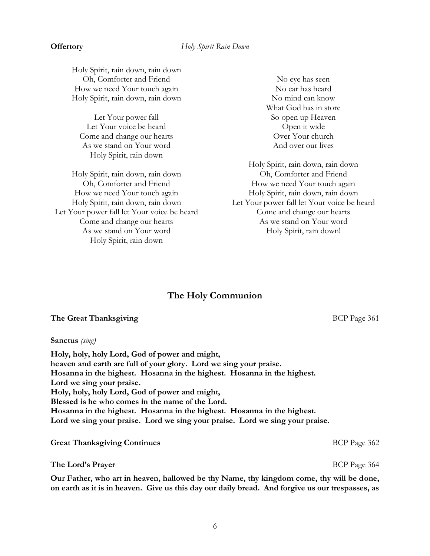Holy Spirit, rain down, rain down Oh, Comforter and Friend How we need Your touch again Holy Spirit, rain down, rain down

Let Your power fall Let Your voice be heard Come and change our hearts As we stand on Your word Holy Spirit, rain down

Holy Spirit, rain down, rain down Oh, Comforter and Friend How we need Your touch again Holy Spirit, rain down, rain down Let Your power fall let Your voice be heard Come and change our hearts As we stand on Your word Holy Spirit, rain down

No eye has seen No ear has heard No mind can know What God has in store So open up Heaven Open it wide Over Your church And over our lives

Holy Spirit, rain down, rain down Oh, Comforter and Friend How we need Your touch again Holy Spirit, rain down, rain down Let Your power fall let Your voice be heard Come and change our hearts As we stand on Your word Holy Spirit, rain down!

# **The Holy Communion**

## **The Great Thanksgiving BCP** 261

**Sanctus** *(sing)*

**Holy, holy, holy Lord, God of power and might, heaven and earth are full of your glory. Lord we sing your praise. Hosanna in the highest. Hosanna in the highest. Hosanna in the highest. Lord we sing your praise. Holy, holy, holy Lord, God of power and might, Blessed is he who comes in the name of the Lord. Hosanna in the highest. Hosanna in the highest. Hosanna in the highest. Lord we sing your praise. Lord we sing your praise. Lord we sing your praise.**

**Great Thanksgiving Continues BCP** Page 362

**The Lord's Prayer** BCP Page 364

**Our Father, who art in heaven, hallowed be thy Name, thy kingdom come, thy will be done, on earth as it is in heaven. Give us this day our daily bread. And forgive us our trespasses, as**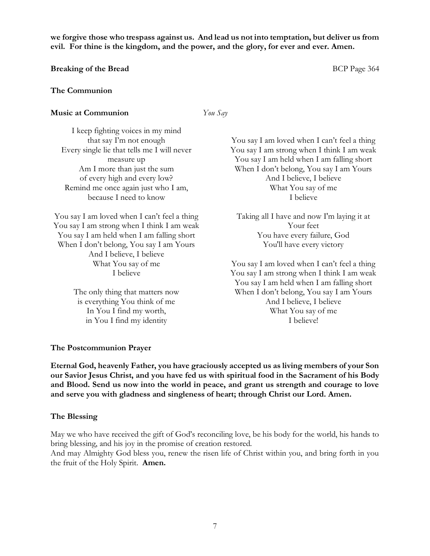**we forgive those who trespass against us. And lead us not into temptation, but deliver us from evil. For thine is the kingdom, and the power, and the glory, for ever and ever. Amen.**

#### **Breaking of the Bread** BCP Page 364

### **The Communion**

#### **Music at Communion** *You Say*

I keep fighting voices in my mind that say I'm not enough Every single lie that tells me I will never measure up Am I more than just the sum of every high and every low? Remind me once again just who I am, because I need to know

You say I am loved when I can't feel a thing You say I am strong when I think I am weak You say I am held when I am falling short When I don't belong, You say I am Yours And I believe, I believe What You say of me I believe

> The only thing that matters now is everything You think of me In You I find my worth, in You I find my identity

You say I am loved when I can't feel a thing You say I am strong when I think I am weak You say I am held when I am falling short When I don't belong, You say I am Yours And I believe, I believe What You say of me I believe

Taking all I have and now I'm laying it at Your feet You have every failure, God You'll have every victory

You say I am loved when I can't feel a thing You say I am strong when I think I am weak You say I am held when I am falling short When I don't belong, You say I am Yours And I believe, I believe What You say of me I believe!

## **The Postcommunion Prayer**

**Eternal God, heavenly Father, you have graciously accepted us as living members of your Son our Savior Jesus Christ, and you have fed us with spiritual food in the Sacrament of his Body and Blood. Send us now into the world in peace, and grant us strength and courage to love and serve you with gladness and singleness of heart; through Christ our Lord. Amen.**

## **The Blessing**

May we who have received the gift of God's reconciling love, be his body for the world, his hands to bring blessing, and his joy in the promise of creation restored.

And may Almighty God bless you, renew the risen life of Christ within you, and bring forth in you the fruit of the Holy Spirit. **Amen.**